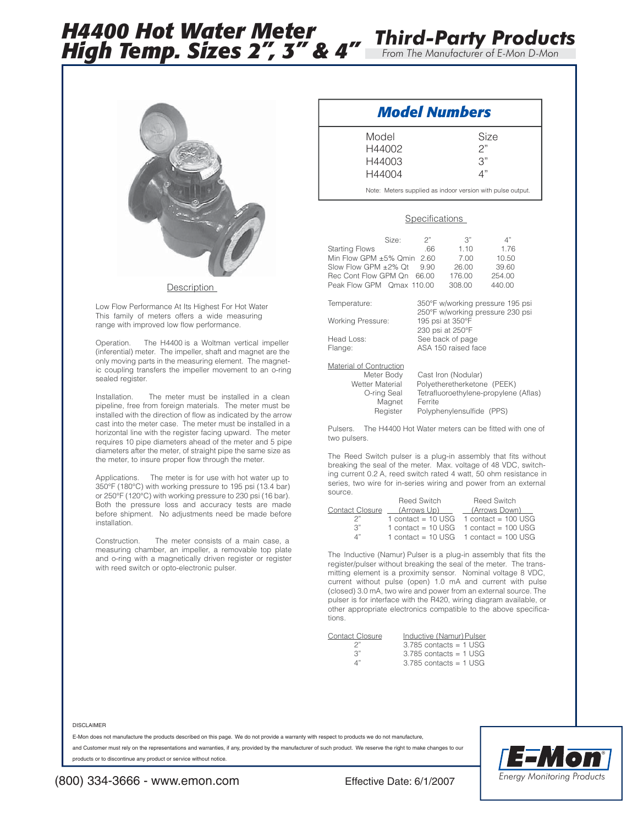# *H4400 Hot Water Meter High Temp. Sizes 2", 3" & 4" From The Manufacturer of E-Mon D-Mon*



**Description** 

Low Flow Performance At Its Highest For Hot Water This family of meters offers a wide measuring range with improved low flow performance.

Operation. The H4400 is a Woltman vertical impeller (inferential) meter. The impeller, shaft and magnet are the only moving parts in the measuring element. The magnetic coupling transfers the impeller movement to an o-ring sealed register.

Installation. The meter must be installed in a clean pipeline, free from foreign materials. The meter must be installed with the direction of flow as indicated by the arrow cast into the meter case. The meter must be installed in a horizontal line with the register facing upward. The meter requires 10 pipe diameters ahead of the meter and 5 pipe diameters after the meter, of straight pipe the same size as the meter, to insure proper flow through the meter.

Applications. The meter is for use with hot water up to 350°F (180°C) with working pressure to 195 psi (13.4 bar) or 250°F (120°C) with working pressure to 230 psi (16 bar). Both the pressure loss and accuracy tests are made before shipment. No adjustments need be made before installation.

Construction. The meter consists of a main case, a measuring chamber, an impeller, a removable top plate and o-ring with a magnetically driven register or register with reed switch or opto-electronic pulser.

## *Model Numbers*

| Model  | Size            |
|--------|-----------------|
| H44002 | 2"              |
| H44003 | $\mathcal{S}$ " |
| H44004 | Δ"              |
|        |                 |

Note: Meters supplied as indoor version with pulse output.

*Third-Party Products*

### **Specifications**

|                            | Size: | 2"  | $\mathcal{B}''$ | 4"     |
|----------------------------|-------|-----|-----------------|--------|
| <b>Starting Flows</b>      |       | .66 | 1.10            | 1.76   |
| Min Flow GPM ±5% Qmin 2.60 |       |     | 7.00            | 10.50  |
| Slow Flow GPM ±2% Qt       |       | 990 | 26.00           | 39.60  |
| Rec Cont Flow GPM Qn 66.00 |       |     | 176.00          | 254.00 |
| Peak Flow GPM Omax 110.00  |       |     | 308.00          | 440.00 |
|                            |       |     |                 |        |

Working Pressure: Head Loss: See back of page

Temperature: 350°F w/working pressure 195 psi 250°F w/working pressure 230 psi<br>195 psi at 350°F 230 psi at 250°F Flange: ASA 150 raised face

#### Material of Contruction

| Meter Body      | Cast Iron (Nodular)                   |
|-----------------|---------------------------------------|
| Wetter Material | Polyetheretherketone (PEEK)           |
| O-ring Seal     | Tetrafluoroethylene-propylene (Aflas) |
| Magnet          | Ferrite                               |
| Register        | Polyphenylensulfide (PPS)             |
|                 |                                       |

Pulsers. The H4400 Hot Water meters can be fitted with one of two pulsers.

The Reed Switch pulser is a plug-in assembly that fits without breaking the seal of the meter. Max. voltage of 48 VDC, switching current 0.2 A, reed switch rated 4 watt, 50 ohm resistance in series, two wire for in-series wiring and power from an external source.

|    | Reed Switch                 | <b>Reed Switch</b>                            |
|----|-----------------------------|-----------------------------------------------|
|    | Contact Closure (Arrows Up) | (Arrows Down)                                 |
| つ" |                             | 1 contact = $10$ USG $-1$ contact = $100$ USG |
| 3" |                             | 1 contact = $10$ USG $-1$ contact = $100$ USG |
| Δ" |                             | 1 contact = $10$ USG $-1$ contact = $100$ USG |
|    |                             |                                               |

The Inductive (Namur) Pulser is a plug-in assembly that fits the register/pulser without breaking the seal of the meter. The transmitting element is a proximity sensor. Nominal voltage 8 VDC, current without pulse (open) 1.0 mA and current with pulse (closed) 3.0 mA, two wire and power from an external source. The pulser is for interface with the R420, wiring diagram available, or other appropriate electronics compatible to the above specifications.

| Inductive (Namur) Pulser |
|--------------------------|
| $3.785$ contacts = 1 USG |
| $3.785$ contacts = 1 USG |
| $3.785$ contacts = 1 USG |
|                          |

#### DISCLAIMER

E-Mon does not manufacture the products described on this page. We do not provide a warranty with respect to products we do not manufacture,

and Customer must rely on the representations and warranties, if any, provided by the manufacturer of such product. We reserve the right to make changes to our products or to discontinue any product or service without notice.



### (800) 334-3666 - www.emon.com Effective Date: 6/1/2007